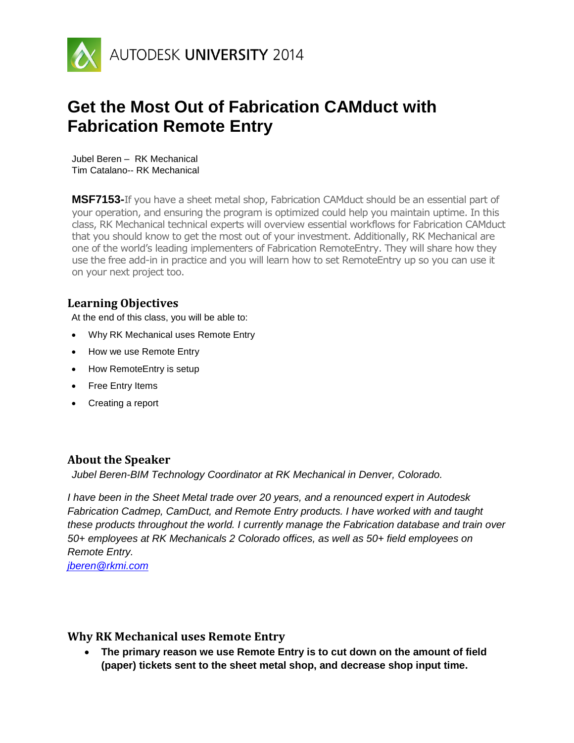

# **Get the Most Out of Fabrication CAMduct with Fabrication Remote Entry**

Jubel Beren – RK Mechanical Tim Catalano-- RK Mechanical

**MSF7153-**If you have a sheet metal shop, Fabrication CAMduct should be an essential part of your operation, and ensuring the program is optimized could help you maintain uptime. In this class, RK Mechanical technical experts will overview essential workflows for Fabrication CAMduct that you should know to get the most out of your investment. Additionally, RK Mechanical are one of the world's leading implementers of Fabrication RemoteEntry. They will share how they use the free add-in in practice and you will learn how to set RemoteEntry up so you can use it on your next project too.

# **Learning Objectives**

At the end of this class, you will be able to:

- Why RK Mechanical uses Remote Entry
- How we use Remote Entry
- How RemoteEntry is setup
- Free Entry Items
- Creating a report

# **About the Speaker**

*Jubel Beren-BIM Technology Coordinator at RK Mechanical in Denver, Colorado.*

*I have been in the Sheet Metal trade over 20 years, and a renounced expert in Autodesk Fabrication Cadmep, CamDuct, and Remote Entry products. I have worked with and taught these products throughout the world. I currently manage the Fabrication database and train over 50+ employees at RK Mechanicals 2 Colorado offices, as well as 50+ field employees on Remote Entry.*

*[jberen@rkmi.com](mailto:jberen@rkmi.com)*

### **Why RK Mechanical uses Remote Entry**

 **The primary reason we use Remote Entry is to cut down on the amount of field (paper) tickets sent to the sheet metal shop, and decrease shop input time.**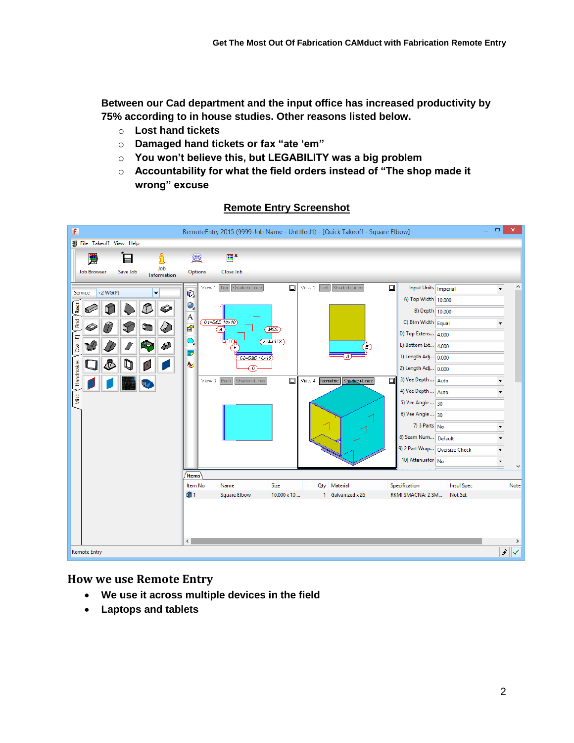**Between our Cad department and the input office has increased productivity by 75% according to in house studies. Other reasons listed below.**

- o **Lost hand tickets**
- o **Damaged hand tickets or fax "ate 'em"**
- o **You won't believe this, but LEGABILITY was a big problem**
- o **Accountability for what the field orders instead of "The shop made it wrong" excuse**



#### **Remote Entry Screenshot**

#### **How we use Remote Entry**

- **We use it across multiple devices in the field**
- **Laptops and tablets**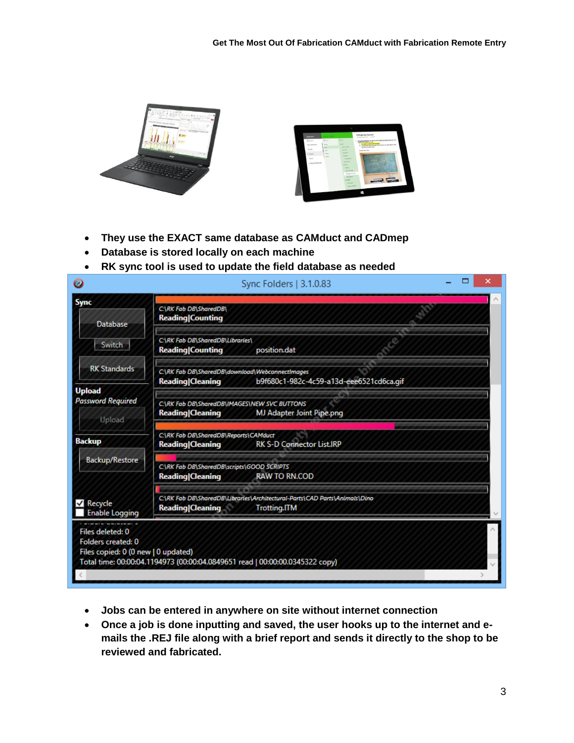



- **They use the EXACT same database as CAMduct and CADmep**
- **Database is stored locally on each machine**
- **RK sync tool is used to update the field database as needed**

| Ø                                                                             | Sync Folders   3.1.0.83                                                                                                      | × |
|-------------------------------------------------------------------------------|------------------------------------------------------------------------------------------------------------------------------|---|
| <b>Sync</b><br><b>Database</b>                                                | C:\RK Fab DB\SharedDB\<br><b>Reading Counting</b>                                                                            |   |
| <b>Switch</b>                                                                 | C:\RK Fab DB\SharedDB\Libraries\<br><b>Reading Counting</b><br>position.dat                                                  |   |
| <b>RK Standards</b>                                                           | C:\RK Fab DB\SharedDB\download\WebconnectImages<br><b>Reading Cleaning</b><br>b9f680c1-982c-4c59-a13d-eee6521cd6ca.gif       |   |
| <b>Upload</b><br><b>Password Required</b><br>Upload                           | C\RK Fab DB\SharedDB\IMAGES\NEW SVC BUTTONS<br><b>Reading Cleaning</b><br><b>MJ Adapter Joint Pipe.png</b>                   |   |
| <b>Backup</b><br><b>Backup/Restore</b>                                        | C:\RK Fab DB\SharedDB\Reports\CAMduct<br><b>Reading Cleaning</b><br><b>RK S-D Connector List.IRP</b>                         |   |
|                                                                               | C:\RK Fab DB\SharedDB\scripts\GOOD SCRIPTS<br><b>Reading Cleaning</b><br><b>RAW TO RN.COD</b>                                |   |
| $\sqrt{ }$ Recycle<br><b>Enable Logging</b>                                   | C:\RK Fab DB\SharedDB\Libraries\Architectural-Parts\CAD Parts\Animals\Dino<br><b>Reading Cleaning</b><br><b>Trotting.ITM</b> |   |
| Files deleted: 0<br>Folders created: 0<br>Files copied: 0 (0 new   0 updated) | Total time: 00:00:04.1194973 (00:00:04.0849651 read   00:00:00.0345322 copy)                                                 |   |
|                                                                               |                                                                                                                              |   |

- **Jobs can be entered in anywhere on site without internet connection**
- **Once a job is done inputting and saved, the user hooks up to the internet and emails the .REJ file along with a brief report and sends it directly to the shop to be reviewed and fabricated.**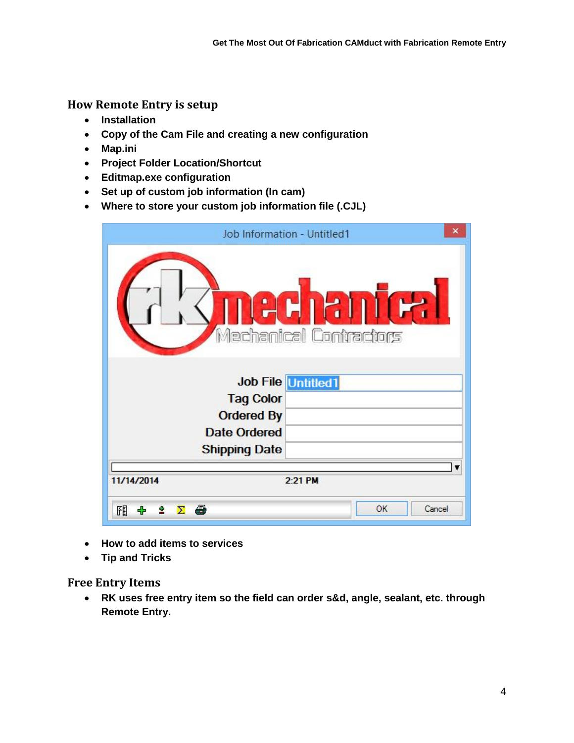**How Remote Entry is setup**

- **Installation**
- **Copy of the Cam File and creating a new configuration**
- **Map.ini**
- **Project Folder Location/Shortcut**
- **Editmap.exe configuration**
- **Set up of custom job information (In cam)**
- **Where to store your custom job information file (.CJL)**

|                                  | ×<br>Job Information - Untitled1 |  |  |
|----------------------------------|----------------------------------|--|--|
| 126121<br>Mechanical Contractors |                                  |  |  |
|                                  | <b>Job File Untitled1</b>        |  |  |
| <b>Tag Color</b>                 |                                  |  |  |
| <b>Ordered By</b>                |                                  |  |  |
| <b>Date Ordered</b>              |                                  |  |  |
| <b>Shipping Date</b>             |                                  |  |  |
|                                  |                                  |  |  |
| 11/14/2014                       | 2:21 PM                          |  |  |
| 聞<br>$\Sigma$ $\oplus$           | OK<br>Cancel                     |  |  |

- **How to add items to services**
- **Tip and Tricks**

**Free Entry Items**

 **RK uses free entry item so the field can order s&d, angle, sealant, etc. through Remote Entry.**